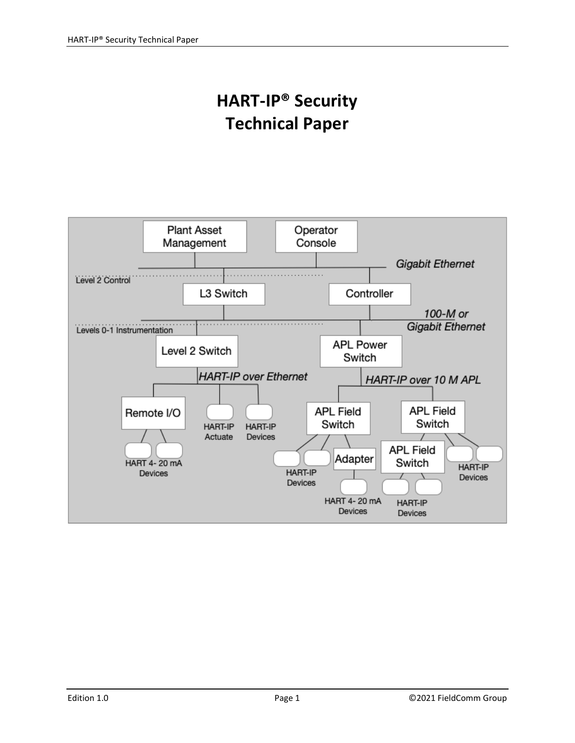# **HART‐IP® Security Technical Paper**

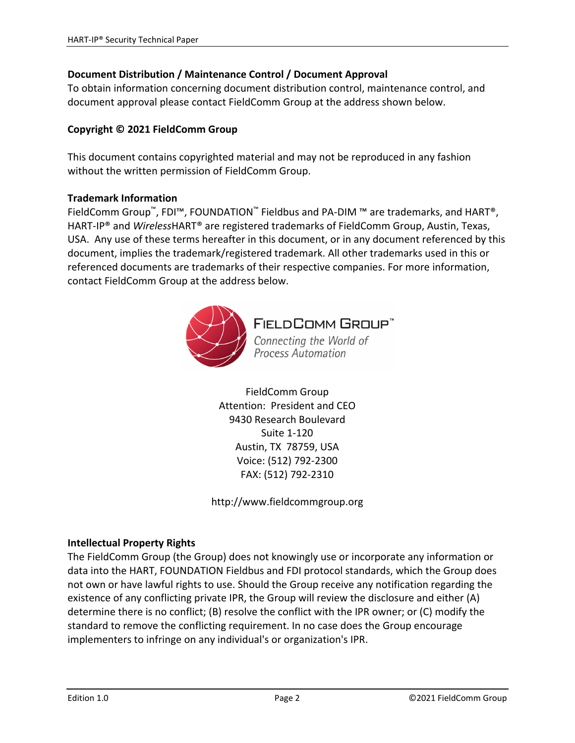#### **Document Distribution / Maintenance Control / Document Approval**

To obtain information concerning document distribution control, maintenance control, and document approval please contact FieldComm Group at the address shown below.

#### **Copyright © 2021 FieldComm Group**

This document contains copyrighted material and may not be reproduced in any fashion without the written permission of FieldComm Group.

#### **Trademark Information**

FieldComm Group™, FDI™, FOUNDATION™ Fieldbus and PA‐DIM ™ are trademarks, and HART®, HART‐IP® and *Wireless*HART® are registered trademarks of FieldComm Group, Austin, Texas, USA. Any use of these terms hereafter in this document, or in any document referenced by this document, implies the trademark/registered trademark. All other trademarks used in this or referenced documents are trademarks of their respective companies. For more information, contact FieldComm Group at the address below.



**FIELDCOMM GROUP"** 

Connecting the World of **Process Automation** 

FieldComm Group Attention: President and CEO 9430 Research Boulevard Suite 1‐120 Austin, TX 78759, USA Voice: (512) 792‐2300 FAX: (512) 792‐2310

http://www.fieldcommgroup.org

#### **Intellectual Property Rights**

The FieldComm Group (the Group) does not knowingly use or incorporate any information or data into the HART, FOUNDATION Fieldbus and FDI protocol standards, which the Group does not own or have lawful rights to use. Should the Group receive any notification regarding the existence of any conflicting private IPR, the Group will review the disclosure and either (A) determine there is no conflict; (B) resolve the conflict with the IPR owner; or (C) modify the standard to remove the conflicting requirement. In no case does the Group encourage implementers to infringe on any individual's or organization's IPR.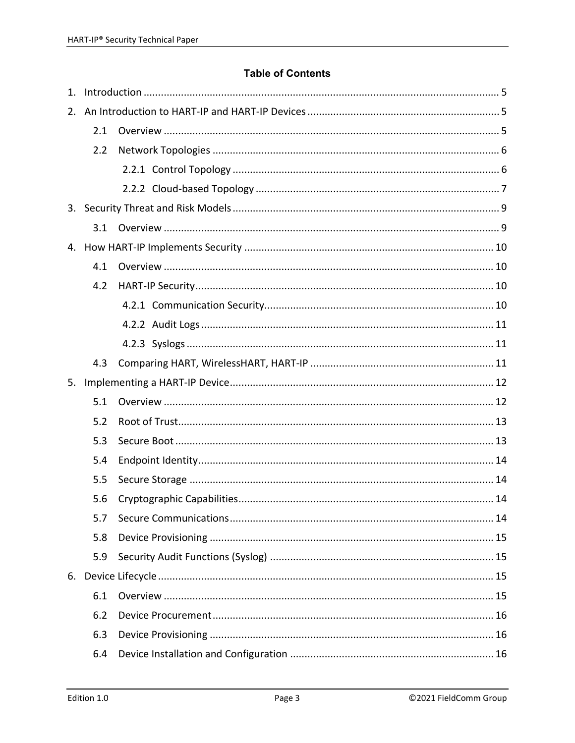#### **Table of Contents**

| 1. |     |  |  |  |
|----|-----|--|--|--|
| 2. |     |  |  |  |
|    | 2.1 |  |  |  |
|    | 2.2 |  |  |  |
|    |     |  |  |  |
|    |     |  |  |  |
| 3. |     |  |  |  |
|    | 3.1 |  |  |  |
| 4. |     |  |  |  |
|    | 4.1 |  |  |  |
|    | 4.2 |  |  |  |
|    |     |  |  |  |
|    |     |  |  |  |
|    |     |  |  |  |
|    |     |  |  |  |
|    | 4.3 |  |  |  |
| 5. |     |  |  |  |
|    | 5.1 |  |  |  |
|    | 5.2 |  |  |  |
|    | 5.3 |  |  |  |
|    | 5.4 |  |  |  |
|    | 5.5 |  |  |  |
|    | 5.6 |  |  |  |
|    | 5.7 |  |  |  |
|    | 5.8 |  |  |  |
|    | 5.9 |  |  |  |
| 6. |     |  |  |  |
|    | 6.1 |  |  |  |
|    | 6.2 |  |  |  |
|    | 6.3 |  |  |  |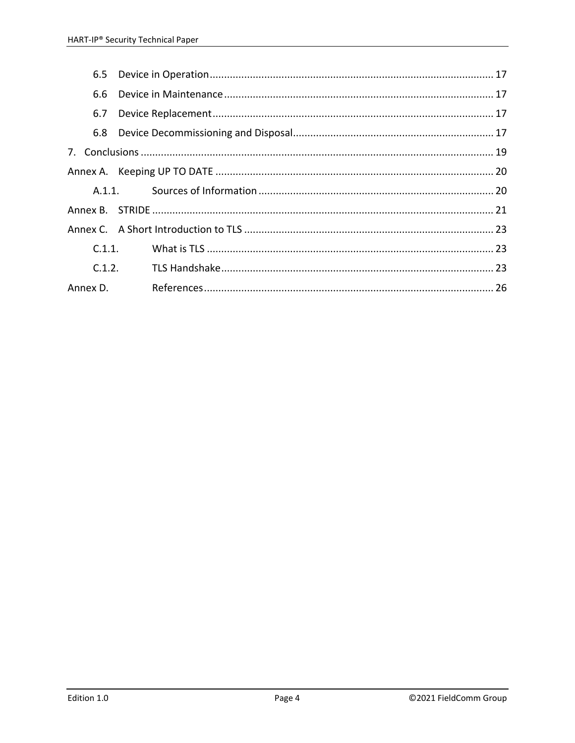| 6.5 |        |  |
|-----|--------|--|
| 6.6 |        |  |
| 6.7 |        |  |
| 6.8 |        |  |
|     |        |  |
|     |        |  |
|     |        |  |
|     |        |  |
|     |        |  |
|     |        |  |
|     | C.1.2. |  |
|     |        |  |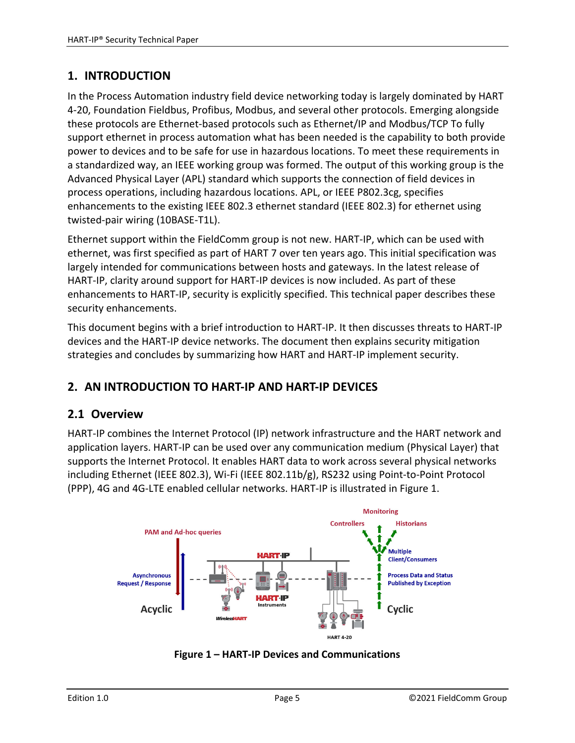# **1. INTRODUCTION**

In the Process Automation industry field device networking today is largely dominated by HART 4‐20, Foundation Fieldbus, Profibus, Modbus, and several other protocols. Emerging alongside these protocols are Ethernet‐based protocols such as Ethernet/IP and Modbus/TCP To fully support ethernet in process automation what has been needed is the capability to both provide power to devices and to be safe for use in hazardous locations. To meet these requirements in a standardized way, an IEEE working group was formed. The output of this working group is the Advanced Physical Layer (APL) standard which supports the connection of field devices in process operations, including hazardous locations. APL, or IEEE P802.3cg, specifies enhancements to the existing IEEE 802.3 ethernet standard (IEEE 802.3) for ethernet using twisted‐pair wiring (10BASE‐T1L).

Ethernet support within the FieldComm group is not new. HART‐IP, which can be used with ethernet, was first specified as part of HART 7 over ten years ago. This initial specification was largely intended for communications between hosts and gateways. In the latest release of HART‐IP, clarity around support for HART‐IP devices is now included. As part of these enhancements to HART-IP, security is explicitly specified. This technical paper describes these security enhancements.

This document begins with a brief introduction to HART‐IP. It then discusses threats to HART‐IP devices and the HART‐IP device networks. The document then explains security mitigation strategies and concludes by summarizing how HART and HART‐IP implement security.

# **2. AN INTRODUCTION TO HART‐IP AND HART‐IP DEVICES**

# **2.1 Overview**

HART‐IP combines the Internet Protocol (IP) network infrastructure and the HART network and application layers. HART‐IP can be used over any communication medium (Physical Layer) that supports the Internet Protocol. It enables HART data to work across several physical networks including Ethernet (IEEE 802.3), Wi‐Fi (IEEE 802.11b/g), RS232 using Point‐to‐Point Protocol (PPP), 4G and 4G‐LTE enabled cellular networks. HART‐IP is illustrated in Figure 1.



**Figure 1 – HART‐IP Devices and Communications**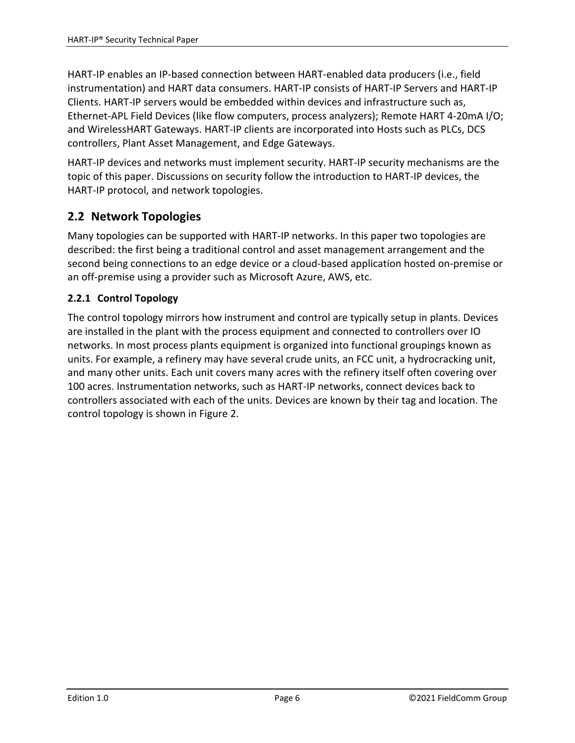HART‐IP enables an IP‐based connection between HART‐enabled data producers (i.e., field instrumentation) and HART data consumers. HART‐IP consists of HART‐IP Servers and HART‐IP Clients. HART‐IP servers would be embedded within devices and infrastructure such as, Ethernet‐APL Field Devices (like flow computers, process analyzers); Remote HART 4‐20mA I/O; and WirelessHART Gateways. HART‐IP clients are incorporated into Hosts such as PLCs, DCS controllers, Plant Asset Management, and Edge Gateways.

HART‐IP devices and networks must implement security. HART‐IP security mechanisms are the topic of this paper. Discussions on security follow the introduction to HART‐IP devices, the HART‐IP protocol, and network topologies.

# **2.2 Network Topologies**

Many topologies can be supported with HART‐IP networks. In this paper two topologies are described: the first being a traditional control and asset management arrangement and the second being connections to an edge device or a cloud‐based application hosted on‐premise or an off-premise using a provider such as Microsoft Azure, AWS, etc.

#### **2.2.1 Control Topology**

The control topology mirrors how instrument and control are typically setup in plants. Devices are installed in the plant with the process equipment and connected to controllers over IO networks. In most process plants equipment is organized into functional groupings known as units. For example, a refinery may have several crude units, an FCC unit, a hydrocracking unit, and many other units. Each unit covers many acres with the refinery itself often covering over 100 acres. Instrumentation networks, such as HART‐IP networks, connect devices back to controllers associated with each of the units. Devices are known by their tag and location. The control topology is shown in Figure 2.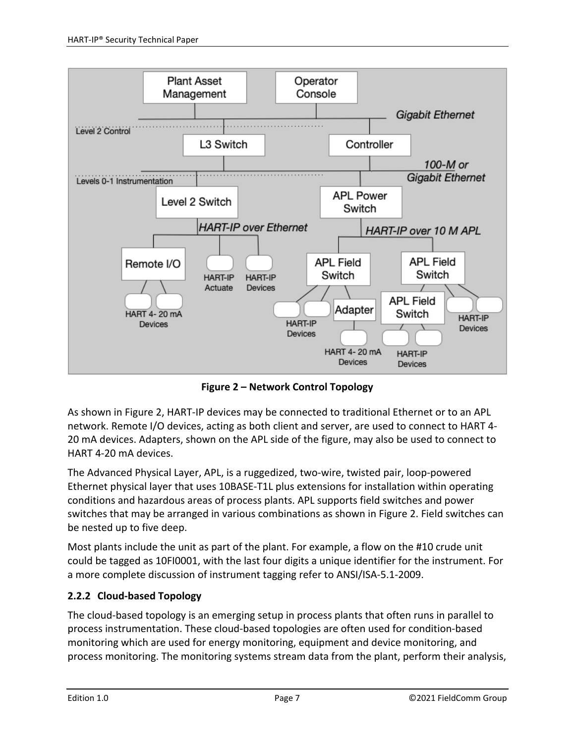

**Figure 2 – Network Control Topology**

As shown in Figure 2, HART‐IP devices may be connected to traditional Ethernet or to an APL network. Remote I/O devices, acting as both client and server, are used to connect to HART 4‐ 20 mA devices. Adapters, shown on the APL side of the figure, may also be used to connect to HART 4‐20 mA devices.

The Advanced Physical Layer, APL, is a ruggedized, two-wire, twisted pair, loop-powered Ethernet physical layer that uses 10BASE‐T1L plus extensions for installation within operating conditions and hazardous areas of process plants. APL supports field switches and power switches that may be arranged in various combinations as shown in Figure 2. Field switches can be nested up to five deep.

Most plants include the unit as part of the plant. For example, a flow on the #10 crude unit could be tagged as 10FI0001, with the last four digits a unique identifier for the instrument. For a more complete discussion of instrument tagging refer to ANSI/ISA‐5.1‐2009.

## **2.2.2 Cloud‐based Topology**

The cloud‐based topology is an emerging setup in process plants that often runs in parallel to process instrumentation. These cloud‐based topologies are often used for condition‐based monitoring which are used for energy monitoring, equipment and device monitoring, and process monitoring. The monitoring systems stream data from the plant, perform their analysis,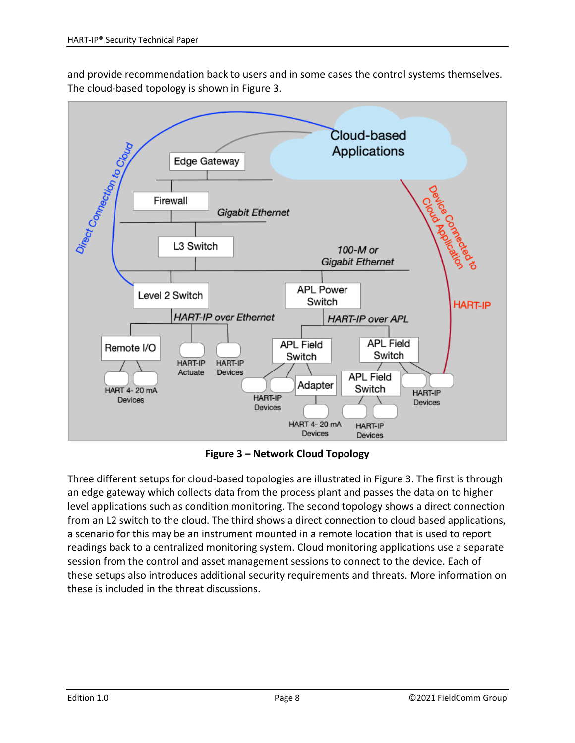and provide recommendation back to users and in some cases the control systems themselves. The cloud‐based topology is shown in Figure 3.



**Figure 3 – Network Cloud Topology**

Three different setups for cloud‐based topologies are illustrated in Figure 3. The first is through an edge gateway which collects data from the process plant and passes the data on to higher level applications such as condition monitoring. The second topology shows a direct connection from an L2 switch to the cloud. The third shows a direct connection to cloud based applications, a scenario for this may be an instrument mounted in a remote location that is used to report readings back to a centralized monitoring system. Cloud monitoring applications use a separate session from the control and asset management sessions to connect to the device. Each of these setups also introduces additional security requirements and threats. More information on these is included in the threat discussions.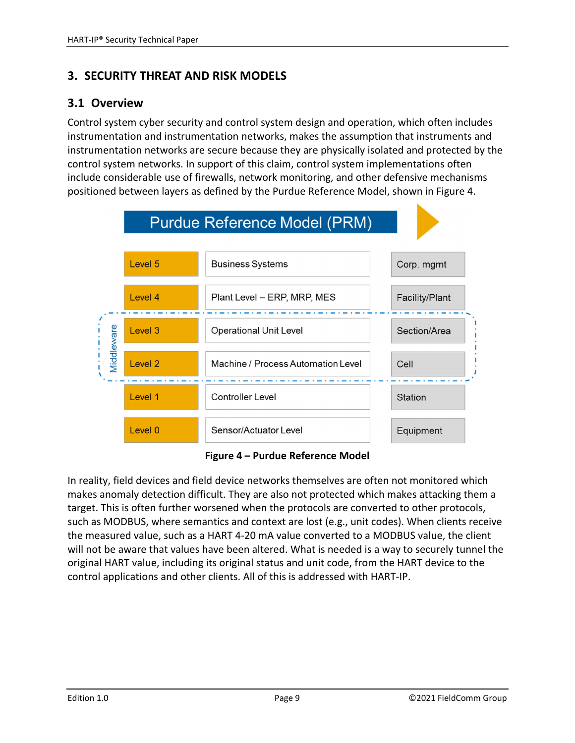# **3. SECURITY THREAT AND RISK MODELS**

## **3.1 Overview**

Control system cyber security and control system design and operation, which often includes instrumentation and instrumentation networks, makes the assumption that instruments and instrumentation networks are secure because they are physically isolated and protected by the control system networks. In support of this claim, control system implementations often include considerable use of firewalls, network monitoring, and other defensive mechanisms positioned between layers as defined by the Purdue Reference Model, shown in Figure 4.



**Figure 4 – Purdue Reference Model**

In reality, field devices and field device networks themselves are often not monitored which makes anomaly detection difficult. They are also not protected which makes attacking them a target. This is often further worsened when the protocols are converted to other protocols, such as MODBUS, where semantics and context are lost (e.g., unit codes). When clients receive the measured value, such as a HART 4‐20 mA value converted to a MODBUS value, the client will not be aware that values have been altered. What is needed is a way to securely tunnel the original HART value, including its original status and unit code, from the HART device to the control applications and other clients. All of this is addressed with HART‐IP.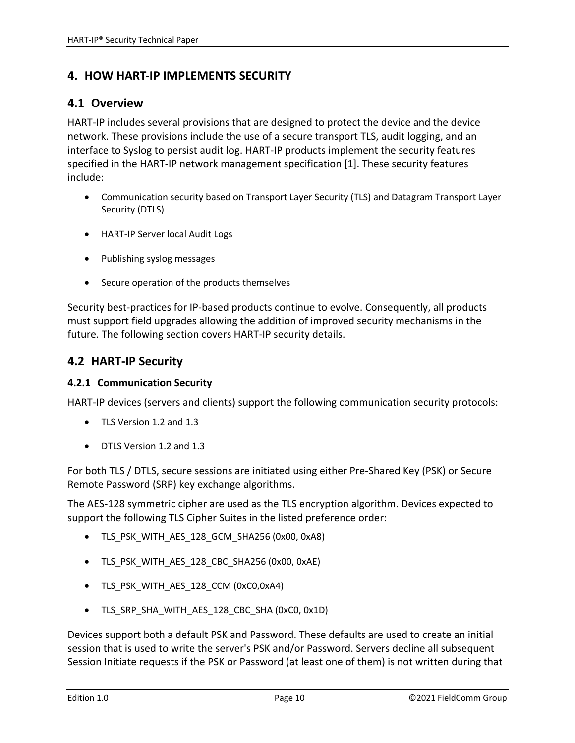# **4. HOW HART‐IP IMPLEMENTS SECURITY**

#### **4.1 Overview**

HART-IP includes several provisions that are designed to protect the device and the device network. These provisions include the use of a secure transport TLS, audit logging, and an interface to Syslog to persist audit log. HART‐IP products implement the security features specified in the HART‐IP network management specification [1]. These security features include:

- Communication security based on Transport Layer Security (TLS) and Datagram Transport Layer Security (DTLS)
- HART-IP Server local Audit Logs
- Publishing syslog messages
- Secure operation of the products themselves

Security best‐practices for IP‐based products continue to evolve. Consequently, all products must support field upgrades allowing the addition of improved security mechanisms in the future. The following section covers HART‐IP security details.

## **4.2 HART‐IP Security**

#### **4.2.1 Communication Security**

HART-IP devices (servers and clients) support the following communication security protocols:

- TLS Version 1.2 and 1.3
- DTLS Version 1.2 and 1.3

For both TLS / DTLS, secure sessions are initiated using either Pre‐Shared Key (PSK) or Secure Remote Password (SRP) key exchange algorithms.

The AES‐128 symmetric cipher are used as the TLS encryption algorithm. Devices expected to support the following TLS Cipher Suites in the listed preference order:

- TLS\_PSK\_WITH\_AES\_128\_GCM\_SHA256 (0x00, 0xA8)
- TLS\_PSK\_WITH\_AES\_128\_CBC\_SHA256 (0x00, 0xAE)
- TLS\_PSK\_WITH\_AES\_128\_CCM (0xC0,0xA4)
- TLS\_SRP\_SHA\_WITH\_AES\_128\_CBC\_SHA (0xC0, 0x1D)

Devices support both a default PSK and Password. These defaults are used to create an initial session that is used to write the server's PSK and/or Password. Servers decline all subsequent Session Initiate requests if the PSK or Password (at least one of them) is not written during that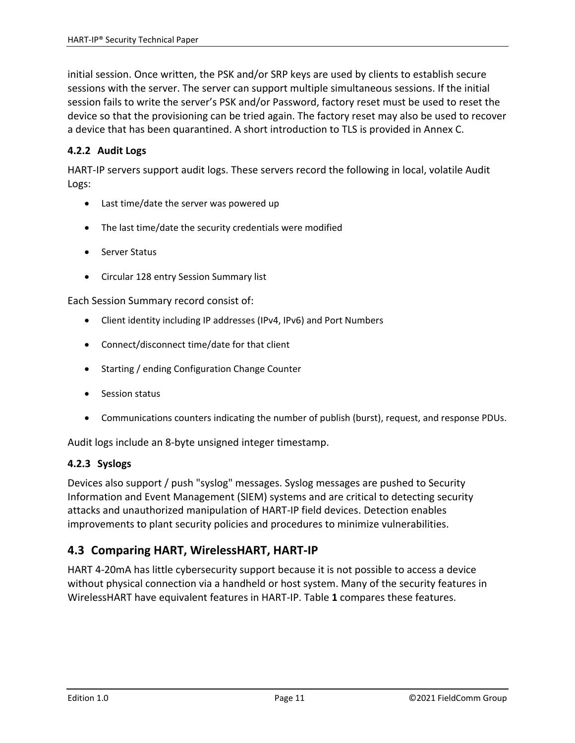initial session. Once written, the PSK and/or SRP keys are used by clients to establish secure sessions with the server. The server can support multiple simultaneous sessions. If the initial session fails to write the server's PSK and/or Password, factory reset must be used to reset the device so that the provisioning can be tried again. The factory reset may also be used to recover a device that has been quarantined. A short introduction to TLS is provided in Annex C.

#### **4.2.2 Audit Logs**

HART‐IP servers support audit logs. These servers record the following in local, volatile Audit Logs:

- Last time/date the server was powered up
- The last time/date the security credentials were modified
- Server Status
- Circular 128 entry Session Summary list

Each Session Summary record consist of:

- Client identity including IP addresses (IPv4, IPv6) and Port Numbers
- Connect/disconnect time/date for that client
- Starting / ending Configuration Change Counter
- Session status
- Communications counters indicating the number of publish (burst), request, and response PDUs.

Audit logs include an 8‐byte unsigned integer timestamp.

#### **4.2.3 Syslogs**

Devices also support / push "syslog" messages. Syslog messages are pushed to Security Information and Event Management (SIEM) systems and are critical to detecting security attacks and unauthorized manipulation of HART‐IP field devices. Detection enables improvements to plant security policies and procedures to minimize vulnerabilities.

## **4.3 Comparing HART, WirelessHART, HART‐IP**

HART 4‐20mA has little cybersecurity support because it is not possible to access a device without physical connection via a handheld or host system. Many of the security features in WirelessHART have equivalent features in HART‐IP. Table **1** compares these features.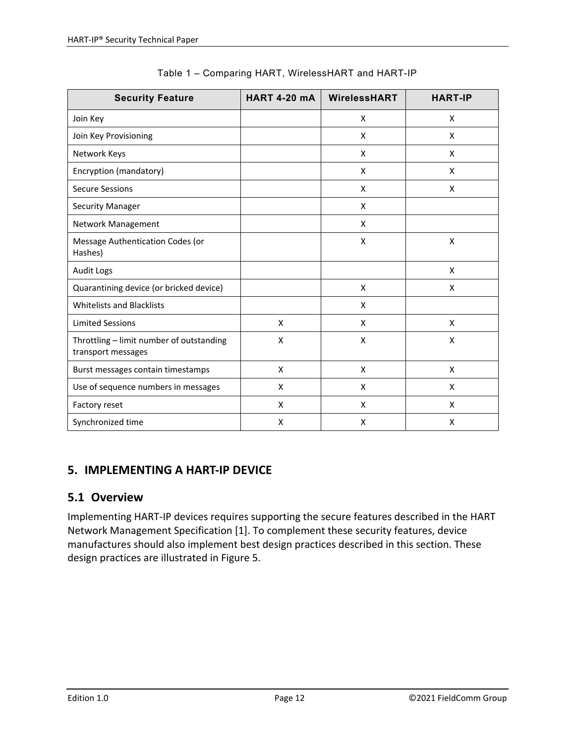| <b>Security Feature</b>                                        | <b>HART 4-20 mA</b> | WirelessHART | <b>HART-IP</b> |
|----------------------------------------------------------------|---------------------|--------------|----------------|
| Join Key                                                       |                     | X            | X              |
| Join Key Provisioning                                          |                     | X            | X              |
| Network Keys                                                   |                     | X            | X              |
| Encryption (mandatory)                                         |                     | X            | X              |
| <b>Secure Sessions</b>                                         |                     | X            | X              |
| <b>Security Manager</b>                                        |                     | X            |                |
| Network Management                                             |                     | X            |                |
| Message Authentication Codes (or<br>Hashes)                    |                     | X            | X              |
| <b>Audit Logs</b>                                              |                     |              | X              |
| Quarantining device (or bricked device)                        |                     | X            | X              |
| <b>Whitelists and Blacklists</b>                               |                     | X            |                |
| <b>Limited Sessions</b>                                        | X                   | X            | X              |
| Throttling - limit number of outstanding<br>transport messages | X                   | X            | X              |
| Burst messages contain timestamps                              | X                   | X            | X              |
| Use of sequence numbers in messages                            | X                   | X            | X              |
| Factory reset                                                  | X                   | X            | X              |
| Synchronized time                                              | X                   | X            | X              |

| Table 1 – Comparing HART, WirelessHART and HART-IP |  |  |  |
|----------------------------------------------------|--|--|--|
|----------------------------------------------------|--|--|--|

# **5. IMPLEMENTING A HART‐IP DEVICE**

# **5.1 Overview**

Implementing HART‐IP devices requires supporting the secure features described in the HART Network Management Specification [1]. To complement these security features, device manufactures should also implement best design practices described in this section. These design practices are illustrated in Figure 5.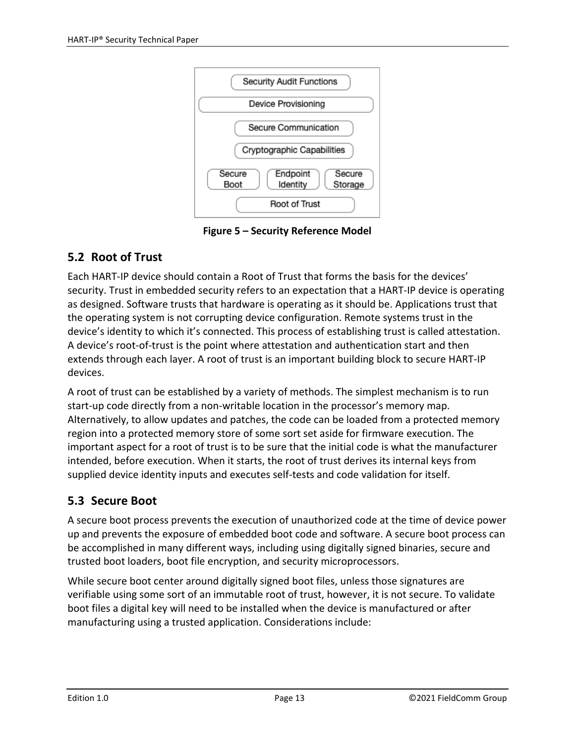

**Figure 5 – Security Reference Model**

# **5.2 Root of Trust**

Each HART‐IP device should contain a Root of Trust that forms the basis for the devices' security. Trust in embedded security refers to an expectation that a HART‐IP device is operating as designed. Software trusts that hardware is operating as it should be. Applications trust that the operating system is not corrupting device configuration. Remote systems trust in the device's identity to which it's connected. This process of establishing trust is called attestation. A device's root‐of‐trust is the point where attestation and authentication start and then extends through each layer. A root of trust is an important building block to secure HART‐IP devices.

A root of trust can be established by a variety of methods. The simplest mechanism is to run start‐up code directly from a non‐writable location in the processor's memory map. Alternatively, to allow updates and patches, the code can be loaded from a protected memory region into a protected memory store of some sort set aside for firmware execution. The important aspect for a root of trust is to be sure that the initial code is what the manufacturer intended, before execution. When it starts, the root of trust derives its internal keys from supplied device identity inputs and executes self‐tests and code validation for itself.

# **5.3 Secure Boot**

A secure boot process prevents the execution of unauthorized code at the time of device power up and prevents the exposure of embedded boot code and software. A secure boot process can be accomplished in many different ways, including using digitally signed binaries, secure and trusted boot loaders, boot file encryption, and security microprocessors.

While secure boot center around digitally signed boot files, unless those signatures are verifiable using some sort of an immutable root of trust, however, it is not secure. To validate boot files a digital key will need to be installed when the device is manufactured or after manufacturing using a trusted application. Considerations include: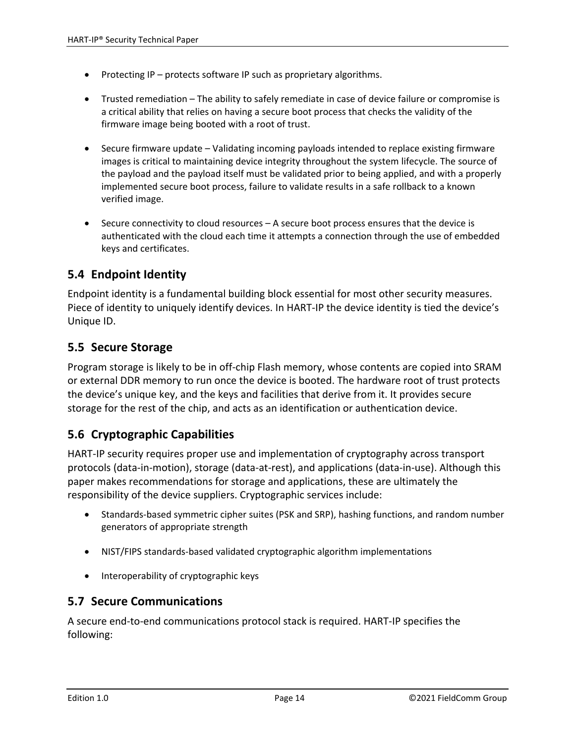- Protecting IP protects software IP such as proprietary algorithms.
- Trusted remediation The ability to safely remediate in case of device failure or compromise is a critical ability that relies on having a secure boot process that checks the validity of the firmware image being booted with a root of trust.
- Secure firmware update Validating incoming payloads intended to replace existing firmware images is critical to maintaining device integrity throughout the system lifecycle. The source of the payload and the payload itself must be validated prior to being applied, and with a properly implemented secure boot process, failure to validate results in a safe rollback to a known verified image.
- Secure connectivity to cloud resources A secure boot process ensures that the device is authenticated with the cloud each time it attempts a connection through the use of embedded keys and certificates.

# **5.4 Endpoint Identity**

Endpoint identity is a fundamental building block essential for most other security measures. Piece of identity to uniquely identify devices. In HART-IP the device identity is tied the device's Unique ID.

## **5.5 Secure Storage**

Program storage is likely to be in off‐chip Flash memory, whose contents are copied into SRAM or external DDR memory to run once the device is booted. The hardware root of trust protects the device's unique key, and the keys and facilities that derive from it. It provides secure storage for the rest of the chip, and acts as an identification or authentication device.

# **5.6 Cryptographic Capabilities**

HART‐IP security requires proper use and implementation of cryptography across transport protocols (data‐in‐motion), storage (data‐at‐rest), and applications (data‐in‐use). Although this paper makes recommendations for storage and applications, these are ultimately the responsibility of the device suppliers. Cryptographic services include:

- Standards-based symmetric cipher suites (PSK and SRP), hashing functions, and random number generators of appropriate strength
- NIST/FIPS standards-based validated cryptographic algorithm implementations
- Interoperability of cryptographic keys

## **5.7 Secure Communications**

A secure end‐to‐end communications protocol stack is required. HART‐IP specifies the following: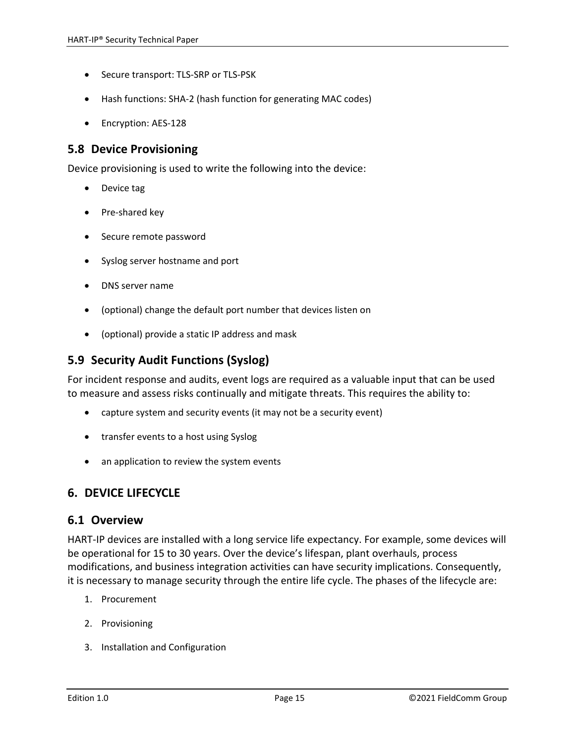- Secure transport: TLS-SRP or TLS-PSK
- Hash functions: SHA-2 (hash function for generating MAC codes)
- Encryption: AES-128

#### **5.8 Device Provisioning**

Device provisioning is used to write the following into the device:

- Device tag
- Pre‐shared key
- Secure remote password
- Syslog server hostname and port
- DNS server name
- (optional) change the default port number that devices listen on
- (optional) provide a static IP address and mask

#### **5.9 Security Audit Functions (Syslog)**

For incident response and audits, event logs are required as a valuable input that can be used to measure and assess risks continually and mitigate threats. This requires the ability to:

- capture system and security events (it may not be a security event)
- transfer events to a host using Syslog
- an application to review the system events

#### **6. DEVICE LIFECYCLE**

#### **6.1 Overview**

HART‐IP devices are installed with a long service life expectancy. For example, some devices will be operational for 15 to 30 years. Over the device's lifespan, plant overhauls, process modifications, and business integration activities can have security implications. Consequently, it is necessary to manage security through the entire life cycle. The phases of the lifecycle are:

- 1. Procurement
- 2. Provisioning
- 3. Installation and Configuration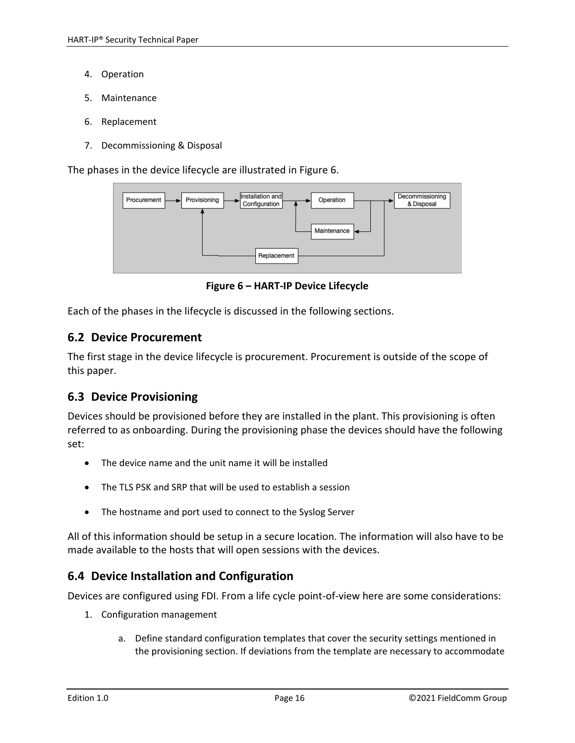- 4. Operation
- 5. Maintenance
- 6. Replacement
- 7. Decommissioning & Disposal

The phases in the device lifecycle are illustrated in Figure 6.



**Figure 6 – HART‐IP Device Lifecycle**

Each of the phases in the lifecycle is discussed in the following sections.

#### **6.2 Device Procurement**

The first stage in the device lifecycle is procurement. Procurement is outside of the scope of this paper.

## **6.3 Device Provisioning**

Devices should be provisioned before they are installed in the plant. This provisioning is often referred to as onboarding. During the provisioning phase the devices should have the following set:

- The device name and the unit name it will be installed
- The TLS PSK and SRP that will be used to establish a session
- The hostname and port used to connect to the Syslog Server

All of this information should be setup in a secure location. The information will also have to be made available to the hosts that will open sessions with the devices.

## **6.4 Device Installation and Configuration**

Devices are configured using FDI. From a life cycle point-of-view here are some considerations:

- 1. Configuration management
	- a. Define standard configuration templates that cover the security settings mentioned in the provisioning section. If deviations from the template are necessary to accommodate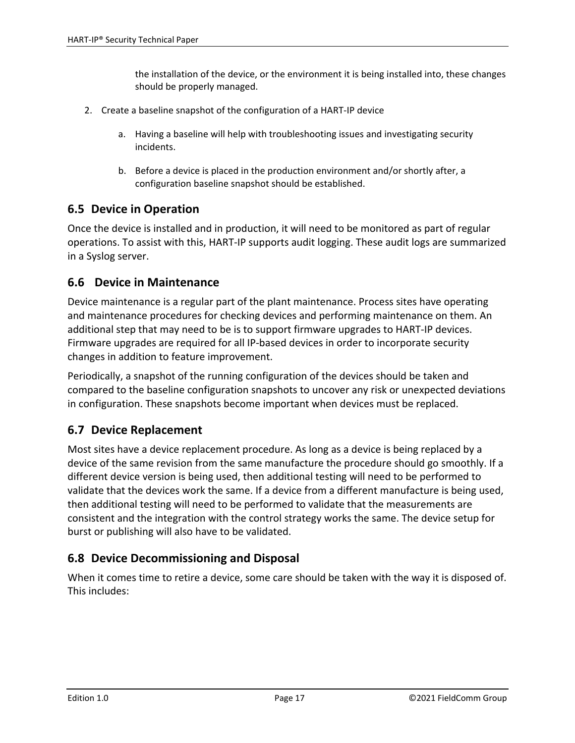the installation of the device, or the environment it is being installed into, these changes should be properly managed.

- 2. Create a baseline snapshot of the configuration of a HART‐IP device
	- a. Having a baseline will help with troubleshooting issues and investigating security incidents.
	- b. Before a device is placed in the production environment and/or shortly after, a configuration baseline snapshot should be established.

## **6.5 Device in Operation**

Once the device is installed and in production, it will need to be monitored as part of regular operations. To assist with this, HART‐IP supports audit logging. These audit logs are summarized in a Syslog server.

## **6.6 Device in Maintenance**

Device maintenance is a regular part of the plant maintenance. Process sites have operating and maintenance procedures for checking devices and performing maintenance on them. An additional step that may need to be is to support firmware upgrades to HART‐IP devices. Firmware upgrades are required for all IP‐based devices in order to incorporate security changes in addition to feature improvement.

Periodically, a snapshot of the running configuration of the devices should be taken and compared to the baseline configuration snapshots to uncover any risk or unexpected deviations in configuration. These snapshots become important when devices must be replaced.

# **6.7 Device Replacement**

Most sites have a device replacement procedure. As long as a device is being replaced by a device of the same revision from the same manufacture the procedure should go smoothly. If a different device version is being used, then additional testing will need to be performed to validate that the devices work the same. If a device from a different manufacture is being used, then additional testing will need to be performed to validate that the measurements are consistent and the integration with the control strategy works the same. The device setup for burst or publishing will also have to be validated.

## **6.8 Device Decommissioning and Disposal**

When it comes time to retire a device, some care should be taken with the way it is disposed of. This includes: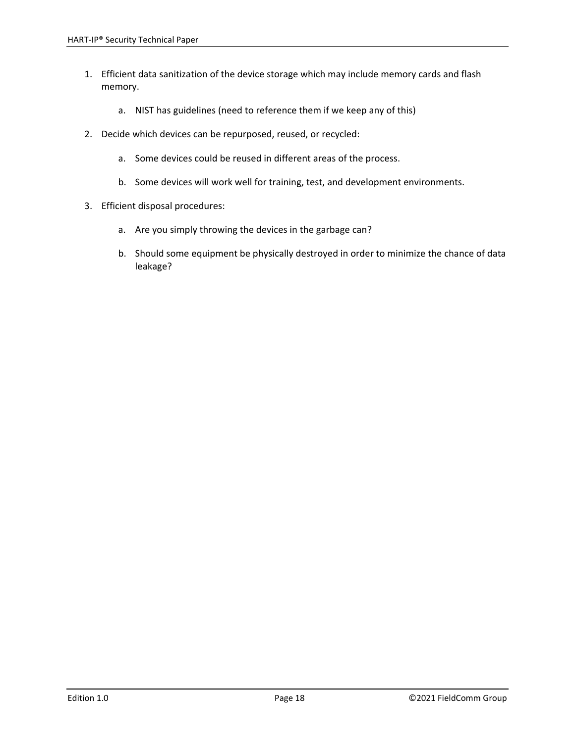- 1. Efficient data sanitization of the device storage which may include memory cards and flash memory.
	- a. NIST has guidelines (need to reference them if we keep any of this)
- 2. Decide which devices can be repurposed, reused, or recycled:
	- a. Some devices could be reused in different areas of the process.
	- b. Some devices will work well for training, test, and development environments.
- 3. Efficient disposal procedures:
	- a. Are you simply throwing the devices in the garbage can?
	- b. Should some equipment be physically destroyed in order to minimize the chance of data leakage?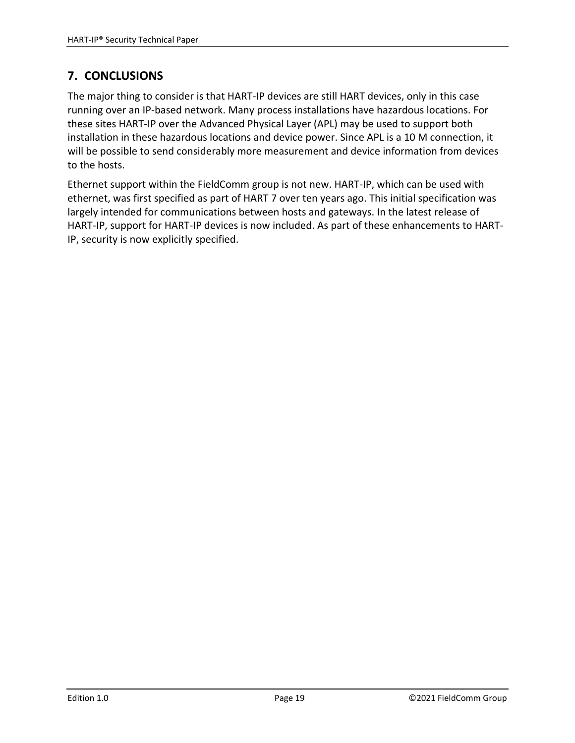# **7. CONCLUSIONS**

The major thing to consider is that HART‐IP devices are still HART devices, only in this case running over an IP‐based network. Many process installations have hazardous locations. For these sites HART‐IP over the Advanced Physical Layer (APL) may be used to support both installation in these hazardous locations and device power. Since APL is a 10 M connection, it will be possible to send considerably more measurement and device information from devices to the hosts.

Ethernet support within the FieldComm group is not new. HART‐IP, which can be used with ethernet, was first specified as part of HART 7 over ten years ago. This initial specification was largely intended for communications between hosts and gateways. In the latest release of HART‐IP, support for HART‐IP devices is now included. As part of these enhancements to HART‐ IP, security is now explicitly specified.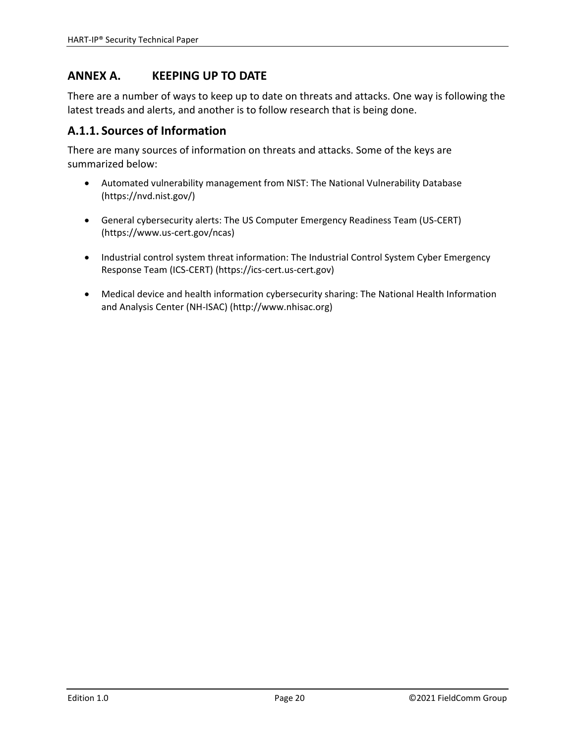# **ANNEX A. KEEPING UP TO DATE**

There are a number of ways to keep up to date on threats and attacks. One way is following the latest treads and alerts, and another is to follow research that is being done.

## **A.1.1. Sources of Information**

There are many sources of information on threats and attacks. Some of the keys are summarized below:

- Automated vulnerability management from NIST: The National Vulnerability Database (https://nvd.nist.gov/)
- General cybersecurity alerts: The US Computer Emergency Readiness Team (US‐CERT) (https://www.us‐cert.gov/ncas)
- Industrial control system threat information: The Industrial Control System Cyber Emergency Response Team (ICS‐CERT) (https://ics‐cert.us‐cert.gov)
- Medical device and health information cybersecurity sharing: The National Health Information and Analysis Center (NH‐ISAC) (http://www.nhisac.org)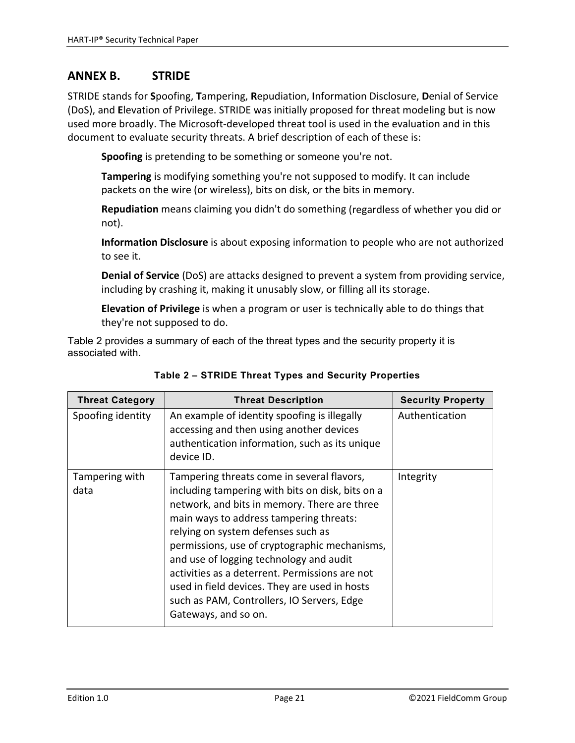## **ANNEX B. STRIDE**

STRIDE stands for **S**poofing, **T**ampering, **R**epudiation, **I**nformation Disclosure, **D**enial of Service (DoS), and **E**levation of Privilege. STRIDE was initially proposed for threat modeling but is now used more broadly. The Microsoft‐developed threat tool is used in the evaluation and in this document to evaluate security threats. A brief description of each of these is:

**Spoofing** is pretending to be something or someone you're not.

**Tampering** is modifying something you're not supposed to modify. It can include packets on the wire (or wireless), bits on disk, or the bits in memory.

**Repudiation** means claiming you didn't do something (regardless of whether you did or not).

**Information Disclosure** is about exposing information to people who are not authorized to see it.

**Denial of Service** (DoS) are attacks designed to prevent a system from providing service, including by crashing it, making it unusably slow, or filling all its storage.

**Elevation of Privilege** is when a program or user is technically able to do things that they're not supposed to do.

Table 2 provides a summary of each of the threat types and the security property it is associated with.

| <b>Threat Category</b> | <b>Threat Description</b>                                                                                                                                                                                                                                                                                                                                                                                                                                                                            | <b>Security Property</b> |
|------------------------|------------------------------------------------------------------------------------------------------------------------------------------------------------------------------------------------------------------------------------------------------------------------------------------------------------------------------------------------------------------------------------------------------------------------------------------------------------------------------------------------------|--------------------------|
| Spoofing identity      | An example of identity spoofing is illegally<br>accessing and then using another devices<br>authentication information, such as its unique<br>device ID.                                                                                                                                                                                                                                                                                                                                             | Authentication           |
| Tampering with<br>data | Tampering threats come in several flavors,<br>including tampering with bits on disk, bits on a<br>network, and bits in memory. There are three<br>main ways to address tampering threats:<br>relying on system defenses such as<br>permissions, use of cryptographic mechanisms,<br>and use of logging technology and audit<br>activities as a deterrent. Permissions are not<br>used in field devices. They are used in hosts<br>such as PAM, Controllers, IO Servers, Edge<br>Gateways, and so on. | Integrity                |

#### **Table 2 – STRIDE Threat Types and Security Properties**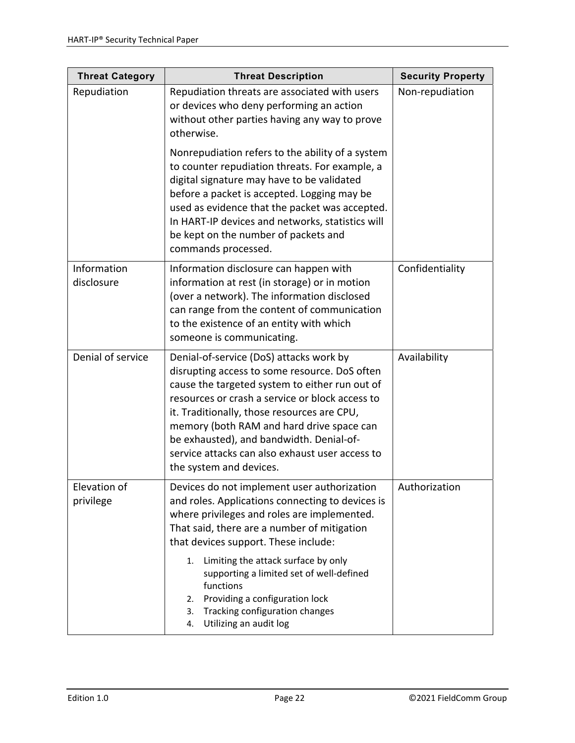| <b>Threat Category</b>    | <b>Threat Description</b>                                                                                                                                                                                                                                                                                                                                                                                           | <b>Security Property</b> |
|---------------------------|---------------------------------------------------------------------------------------------------------------------------------------------------------------------------------------------------------------------------------------------------------------------------------------------------------------------------------------------------------------------------------------------------------------------|--------------------------|
| Repudiation               | Repudiation threats are associated with users<br>or devices who deny performing an action<br>without other parties having any way to prove<br>otherwise.                                                                                                                                                                                                                                                            | Non-repudiation          |
|                           | Nonrepudiation refers to the ability of a system<br>to counter repudiation threats. For example, a<br>digital signature may have to be validated<br>before a packet is accepted. Logging may be<br>used as evidence that the packet was accepted.<br>In HART-IP devices and networks, statistics will<br>be kept on the number of packets and<br>commands processed.                                                |                          |
| Information<br>disclosure | Information disclosure can happen with<br>information at rest (in storage) or in motion<br>(over a network). The information disclosed<br>can range from the content of communication<br>to the existence of an entity with which<br>someone is communicating.                                                                                                                                                      | Confidentiality          |
| Denial of service         | Denial-of-service (DoS) attacks work by<br>disrupting access to some resource. DoS often<br>cause the targeted system to either run out of<br>resources or crash a service or block access to<br>it. Traditionally, those resources are CPU,<br>memory (both RAM and hard drive space can<br>be exhausted), and bandwidth. Denial-of-<br>service attacks can also exhaust user access to<br>the system and devices. | Availability             |
| Elevation of<br>privilege | Devices do not implement user authorization<br>and roles. Applications connecting to devices is<br>where privileges and roles are implemented.<br>That said, there are a number of mitigation<br>that devices support. These include:                                                                                                                                                                               | Authorization            |
|                           | Limiting the attack surface by only<br>1.<br>supporting a limited set of well-defined<br>functions<br>Providing a configuration lock<br>2.<br>Tracking configuration changes<br>3.<br>Utilizing an audit log<br>4.                                                                                                                                                                                                  |                          |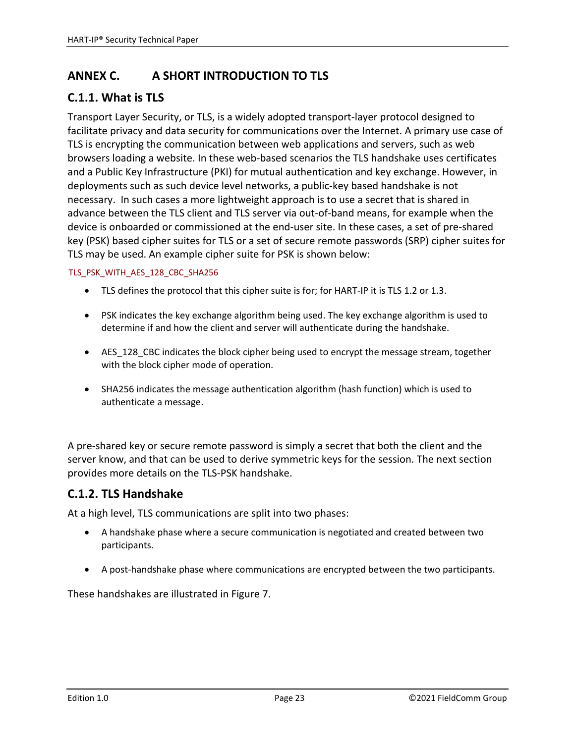# **ANNEX C. A SHORT INTRODUCTION TO TLS**

# **C.1.1. What is TLS**

Transport Layer Security, or TLS, is a widely adopted transport‐layer protocol designed to facilitate privacy and data security for communications over the Internet. A primary use case of TLS is encrypting the communication between web applications and servers, such as web browsers loading a website. In these web‐based scenarios the TLS handshake uses certificates and a Public Key Infrastructure (PKI) for mutual authentication and key exchange. However, in deployments such as such device level networks, a public‐key based handshake is not necessary. In such cases a more lightweight approach is to use a secret that is shared in advance between the TLS client and TLS server via out‐of‐band means, for example when the device is onboarded or commissioned at the end‐user site. In these cases, a set of pre‐shared key (PSK) based cipher suites for TLS or a set of secure remote passwords (SRP) cipher suites for TLS may be used. An example cipher suite for PSK is shown below:

#### TLS\_PSK\_WITH\_AES\_128\_CBC\_SHA256

- TLS defines the protocol that this cipher suite is for; for HART-IP it is TLS 1.2 or 1.3.
- PSK indicates the key exchange algorithm being used. The key exchange algorithm is used to determine if and how the client and server will authenticate during the handshake.
- AES 128 CBC indicates the block cipher being used to encrypt the message stream, together with the block cipher mode of operation.
- SHA256 indicates the message authentication algorithm (hash function) which is used to authenticate a message.

A pre‐shared key or secure remote password is simply a secret that both the client and the server know, and that can be used to derive symmetric keys for the session. The next section provides more details on the TLS‐PSK handshake.

# **C.1.2. TLS Handshake**

At a high level, TLS communications are split into two phases:

- A handshake phase where a secure communication is negotiated and created between two participants.
- A post‐handshake phase where communications are encrypted between the two participants.

These handshakes are illustrated in Figure 7.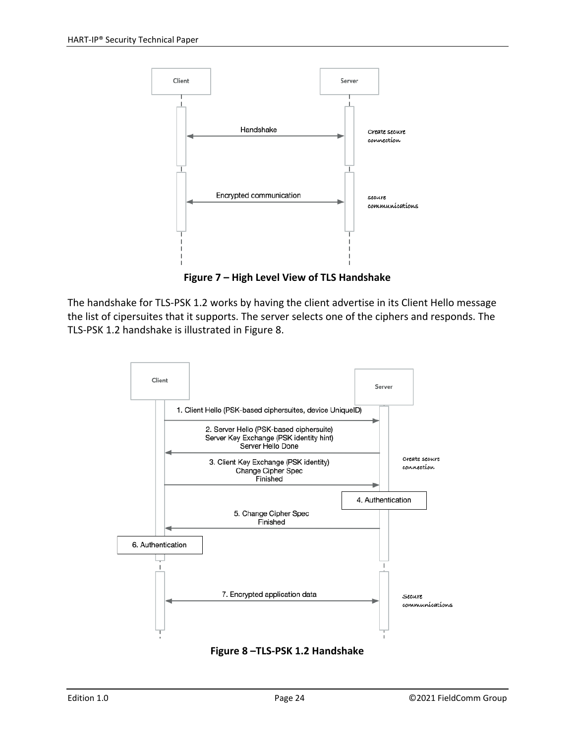

**Figure 7 – High Level View of TLS Handshake**

The handshake for TLS‐PSK 1.2 works by having the client advertise in its Client Hello message the list of cipersuites that it supports. The server selects one of the ciphers and responds. The TLS‐PSK 1.2 handshake is illustrated in Figure 8.



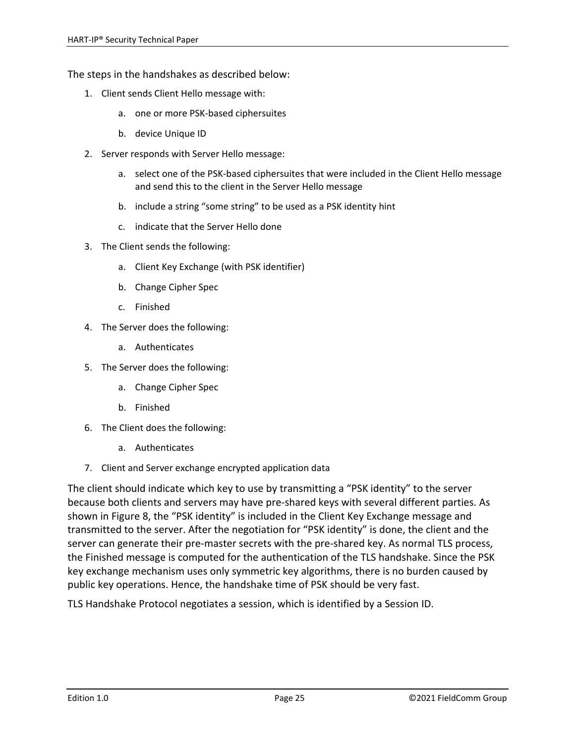The steps in the handshakes as described below:

- 1. Client sends Client Hello message with:
	- a. one or more PSK‐based ciphersuites
	- b. device Unique ID
- 2. Server responds with Server Hello message:
	- a. select one of the PSK‐based ciphersuites that were included in the Client Hello message and send this to the client in the Server Hello message
	- b. include a string "some string" to be used as a PSK identity hint
	- c. indicate that the Server Hello done
- 3. The Client sends the following:
	- a. Client Key Exchange (with PSK identifier)
	- b. Change Cipher Spec
	- c. Finished
- 4. The Server does the following:
	- a. Authenticates
- 5. The Server does the following:
	- a. Change Cipher Spec
	- b. Finished
- 6. The Client does the following:
	- a. Authenticates
- 7. Client and Server exchange encrypted application data

The client should indicate which key to use by transmitting a "PSK identity" to the server because both clients and servers may have pre‐shared keys with several different parties. As shown in Figure 8, the "PSK identity" is included in the Client Key Exchange message and transmitted to the server. After the negotiation for "PSK identity" is done, the client and the server can generate their pre-master secrets with the pre-shared key. As normal TLS process, the Finished message is computed for the authentication of the TLS handshake. Since the PSK key exchange mechanism uses only symmetric key algorithms, there is no burden caused by public key operations. Hence, the handshake time of PSK should be very fast.

TLS Handshake Protocol negotiates a session, which is identified by a Session ID.